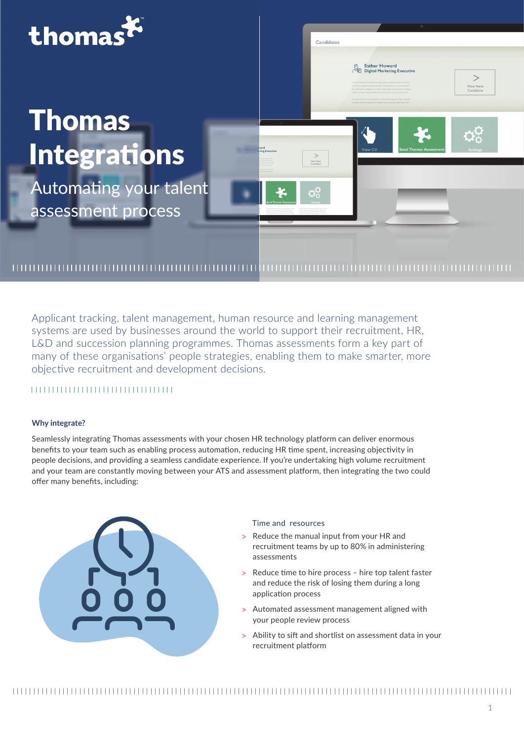

Applicant tracking, talent management, human resource and learning management systems are used by businesses around the world to support their recruitment, HR, L&D and succession planning programmes. Thomas assessments form a key part of many of these organisations' people strategies, enabling them to make smarter, more objective recruitment and development decisions.

# 

## **Why integrate?**

Seamlessly integrating Thomas assessments with your chosen HR technology platform can deliver enormous benefits to your team such as enabling process automation, reducing HR time spent, increasing objectivity in people decisions, and providing a seamless candidate experience. If you're undertaking high volume recruitment and your team are constantly moving between your ATS and assessment platform, then integrating the two could offer many benefits, including:



### Time and resources

- > Reduce the manual input from your HR and recruitment teams by up to 80% in administering assessments
- > Reduce time to hire process hire top talent faster and reduce the risk of losing them during a long application process
- > Automated assessment management aligned with your people review process
- > Ability to sift and shortlist on assessment data in your recruitment platform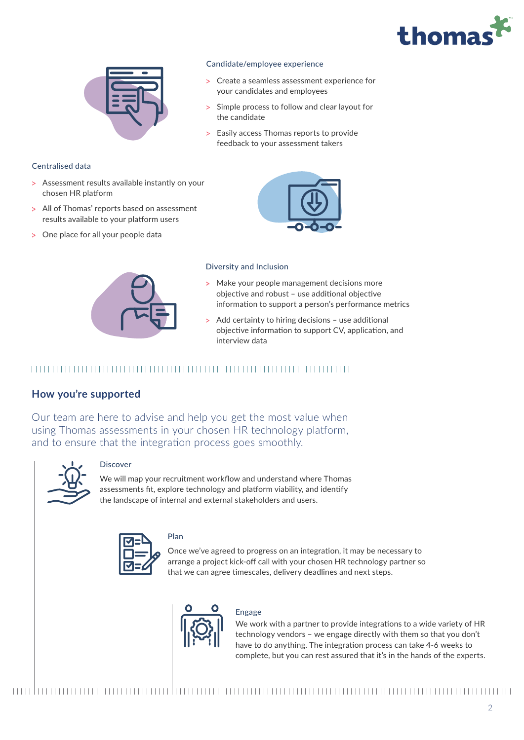



## Centralised data

- > Assessment results available instantly on your chosen HR platform
- > All of Thomas' reports based on assessment results available to your platform users
- > One place for all your people data



- ұ Create a seamless assessment experience for your candidates and employees
- Simple process to follow and clear layout for the candidate
- > Easily access Thomas reports to provide feedback to your assessment takers



### Diversity and Inclusion

- > Make your people management decisions more objective and robust – use additional objective information to support a person's performance metrics
- > Add certainty to hiring decisions use additional objective information to support CV, application, and interview data

## 

## **How you're supported**

Our team are here to advise and help you get the most value when using Thomas assessments in your chosen HR technology platform, and to ensure that the integration process goes smoothly.



### Discover

We will map your recruitment workflow and understand where Thomas assessments fit, explore technology and platform viability, and identify the landscape of internal and external stakeholders and users.



# Plan

Once we've agreed to progress on an integration, it may be necessary to arrange a project kick-off call with your chosen HR technology partner so that we can agree timescales, delivery deadlines and next steps.



Engage

We work with a partner to provide integrations to a wide variety of HR technology vendors – we engage directly with them so that you don't have to do anything. The integration process can take 4-6 weeks to complete, but you can rest assured that it's in the hands of the experts.

#